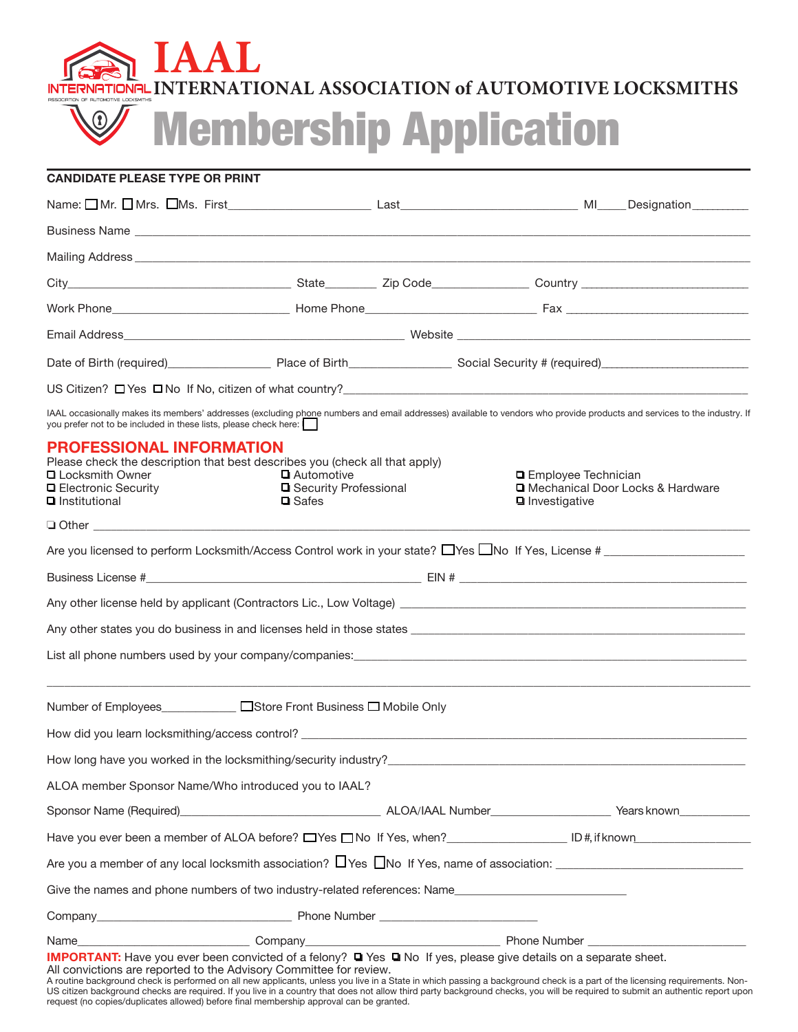

Membership Application

## **CANDIDATE PLEASE TYPE OR PRINT**

|                                                                                                                                                                                                                                                                                                                                                                      |  | Date of Birth (required) Place of Birth Social Security # (required) Case of Birth (required) |  |  |
|----------------------------------------------------------------------------------------------------------------------------------------------------------------------------------------------------------------------------------------------------------------------------------------------------------------------------------------------------------------------|--|-----------------------------------------------------------------------------------------------|--|--|
|                                                                                                                                                                                                                                                                                                                                                                      |  |                                                                                               |  |  |
| IAAL occasionally makes its members' addresses (excluding phone numbers and email addresses) available to vendors who provide products and services to the industry. If<br>you prefer not to be included in these lists, please check here:                                                                                                                          |  |                                                                                               |  |  |
| <b>PROFESSIONAL INFORMATION</b><br>Please check the description that best describes you (check all that apply)<br><b>Q</b> Locksmith Owner<br>Automotive<br><b>Q</b> Electronic Security<br><b>□</b> Security Professional<br>$\blacksquare$ Institutional<br>$\Box$ Safes                                                                                           |  | □ Employee Technician<br>□ Mechanical Door Locks & Hardware<br><b>■</b> Investigative         |  |  |
| $\Box$ Other and $\Box$ Other and $\Box$ Other and $\Box$ Other and $\Box$ Other and $\Box$                                                                                                                                                                                                                                                                          |  |                                                                                               |  |  |
| Are you licensed to perform Locksmith/Access Control work in your state? $\Box$ Yes $\Box$ No If Yes, License #                                                                                                                                                                                                                                                      |  |                                                                                               |  |  |
|                                                                                                                                                                                                                                                                                                                                                                      |  |                                                                                               |  |  |
|                                                                                                                                                                                                                                                                                                                                                                      |  |                                                                                               |  |  |
|                                                                                                                                                                                                                                                                                                                                                                      |  |                                                                                               |  |  |
|                                                                                                                                                                                                                                                                                                                                                                      |  |                                                                                               |  |  |
| Number of Employees<br>□Store Front Business □ Mobile Only                                                                                                                                                                                                                                                                                                           |  |                                                                                               |  |  |
|                                                                                                                                                                                                                                                                                                                                                                      |  |                                                                                               |  |  |
| How long have you worked in the locksmithing/security industry?<br>The matter of the control of the control of the control of the control of the control of the control of the control of the control of the control of the cont                                                                                                                                     |  |                                                                                               |  |  |
| ALOA member Sponsor Name/Who introduced you to IAAL?                                                                                                                                                                                                                                                                                                                 |  |                                                                                               |  |  |
|                                                                                                                                                                                                                                                                                                                                                                      |  |                                                                                               |  |  |
| Have you ever been a member of ALOA before? UYes UNo If Yes, when? [Interact LD #, if known Interact LD #, if known Interact LD #, if known Interact LD #, if known Interact LD #, if known Interact LD #, if known Interact L                                                                                                                                       |  |                                                                                               |  |  |
|                                                                                                                                                                                                                                                                                                                                                                      |  |                                                                                               |  |  |
| Give the names and phone numbers of two industry-related references: Name                                                                                                                                                                                                                                                                                            |  |                                                                                               |  |  |
|                                                                                                                                                                                                                                                                                                                                                                      |  |                                                                                               |  |  |
| IMPORTANT: Have you ever been convicted of a felony? T Yes INo If yes, please give details on a separate sheet.<br>All convictions are reported to the Advisory Committee for review.<br>A routine background check is performed on all new applicants, unless you live in a State in which passing a background check is a part of the licensing requirements. Non- |  |                                                                                               |  |  |

US citizen background checks are required. If you live in a country that does not allow third party background checks, you will be required to submit an authentic report upon request (no copies/duplicates allowed) before final membership approval can be granted.